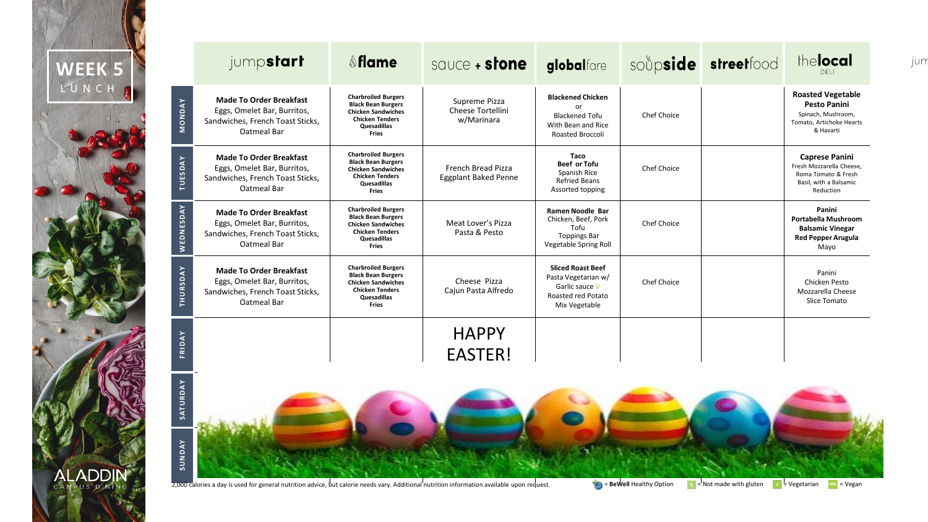

**SUNDAY**

|               | jump <b>start</b>                                                                                                | <b>Sflame</b>                                                                                                                                 | sauce + stone                                     | globalfare                                                                                               |                    | soupside streetfood | thelocal<br><b>DELI</b>                                                                                         |
|---------------|------------------------------------------------------------------------------------------------------------------|-----------------------------------------------------------------------------------------------------------------------------------------------|---------------------------------------------------|----------------------------------------------------------------------------------------------------------|--------------------|---------------------|-----------------------------------------------------------------------------------------------------------------|
| <b>MONDAY</b> | <b>Made To Order Breakfast</b><br>Eggs, Omelet Bar, Burritos,<br>Sandwiches, French Toast Sticks,<br>Oatmeal Bar | <b>Charbroiled Burgers</b><br><b>Black Bean Burgers</b><br><b>Chicken Sandwiches</b><br><b>Chicken Tenders</b><br>Quesadillas<br><b>Fries</b> | Supreme Pizza<br>Cheese Tortellini<br>w/Marinara  | <b>Blackened Chicken</b><br>or<br><b>Blackened Tofu</b><br>With Bean and Rice<br>Roasted Broccoli        | Chef Choice        |                     | <b>Roasted Vegetable</b><br><b>Pesto Panini</b><br>Spinach, Mushroom,<br>Tomato, Artichoke Hearts<br>& Havarti  |
| TUESDAY       | <b>Made To Order Breakfast</b><br>Eggs, Omelet Bar, Burritos,<br>Sandwiches, French Toast Sticks,<br>Oatmeal Bar | <b>Charbroiled Burgers</b><br><b>Black Bean Burgers</b><br><b>Chicken Sandwiches</b><br><b>Chicken Tenders</b><br>Quesadillas<br>Fries        | French Bread Pizza<br><b>Eggplant Baked Penne</b> | Taco<br><b>Beef or Tofu</b><br>Spanish Rice<br><b>Refried Beans</b><br>Assorted topping                  | Chef Choice        |                     | <b>Caprese Panini</b><br>Fresh Mozzarella Cheese.<br>Roma Tomato & Fresh<br>Basil, with a Balsamic<br>Reduction |
| WEDNESDAY     | <b>Made To Order Breakfast</b><br>Eggs, Omelet Bar, Burritos,<br>Sandwiches, French Toast Sticks,<br>Oatmeal Bar | <b>Charbroiled Burgers</b><br><b>Black Bean Burgers</b><br><b>Chicken Sandwiches</b><br><b>Chicken Tenders</b><br>Quesadillas<br><b>Fries</b> | Meat Lover's Pizza<br>Pasta & Pesto               | Ramen Noodle Bar<br>Chicken, Beef, Pork<br>Tofu<br><b>Toppings Bar</b><br>Vegetable Spring Roll          | Chef Choice        |                     | Panini<br>Portabella Mushroom<br><b>Balsamic Vinegar</b><br><b>Red Pepper Arugula</b><br>Mayo                   |
| THURSDAY      | <b>Made To Order Breakfast</b><br>Eggs, Omelet Bar, Burritos,<br>Sandwiches, French Toast Sticks,<br>Oatmeal Bar | <b>Charbroiled Burgers</b><br><b>Black Bean Burgers</b><br><b>Chicken Sandwiches</b><br><b>Chicken Tenders</b><br>Quesadillas<br>Fries        | Cheese Pizza<br>Cajun Pasta Alfredo               | <b>Sliced Roast Beef</b><br>Pasta Vegetarian w/<br>Garlic sauce V<br>Roasted red Potato<br>Mix Vegetable | <b>Chef Choice</b> |                     | Panini<br>Chicken Pesto<br>Mozzarella Cheese<br>Slice Tomato                                                    |
|               |                                                                                                                  |                                                                                                                                               | <b>HAPPY</b>                                      |                                                                                                          |                    |                     |                                                                                                                 |
| FRIDAY        |                                                                                                                  |                                                                                                                                               | <b>EASTER!</b>                                    |                                                                                                          |                    |                     |                                                                                                                 |
| SATURDAY      |                                                                                                                  |                                                                                                                                               |                                                   |                                                                                                          |                    |                     |                                                                                                                 |

2,000 calories a day is used for general nutrition advice, but calorie needs vary. Additional nutrition information available upon request. **1999 are servell** Healthy Option  $\bullet$  We Not made with gluten Ve Vegetarian VG =

jun

Closed Closed CLOSED **Closed**